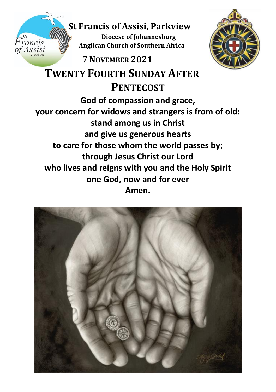# **St Francis of Assisi, Parkview**

**Diocese of Johannesburg Anglican Church of Southern Africa**<br>Assisi

# **7NOVEMBER 2021**



 **TWENTY FOURTH SUNDAY AFTER PENTECOST God of compassion and grace, your concern for widows and strangers is from of old: stand among us in Christ and give us generous hearts to care for those whom the world passes by; through Jesus Christ our Lord who lives and reigns with you and the Holy Spirit one God, now and for ever Amen.**

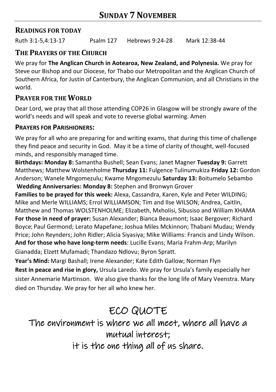### **READINGS FOR TODAY**

Ruth 3:1-5,4:13-17 Psalm 127 Hebrews 9:24-28 Mark 12:38-44

### **THE PRAYERS OF THE CHURCH**

We pray for **The Anglican Church in Aotearoa, New Zealand, and Polynesia.** We pray for Steve our Bishop and our Diocese, for Thabo our Metropolitan and the Anglican Church of Southern Africa, for Justin of Canterbury, the Anglican Communion, and all Christians in the world.

## **PRAYER FOR THE WORLD**

Dear Lord, we pray that all those attending COP26 in Glasgow will be strongly aware of the world's needs and will speak and vote to reverse global warming. Amen

#### **PRAYERS FOR PARISHIONERS:**

We pray for all who are preparing for and writing exams, that during this time of challenge they find peace and security in God. May it be a time of clarity of thought, well-focused minds, and responsibly managed time.

**Birthdays: Monday 8:** Samantha Bushell; Sean Evans; Janet Magner **Tuesday 9:** Garrett Matthews; Matthew Wolstenholme **Thursday 11:** Fulgence Tulinumukiza **Friday 12:** Gordon Anderson; Wanele Mngomezulu; Kwame Mngomezulu **Saturday 13:** Boitumelo Sebambo **Wedding Anniversaries: Monday 8:** Stephen and Bronwyn Grover

**Families to be prayed for this week:** Alexa, Cassandra, Karen, Kyle and Peter WILDING; Mike and Merle WILLIAMS; Errol WILLIAMSON; Tim and Ilse WILSON; Andrea, Caitlin, Matthew and Thomas WOLSTENHOLME; Elizabeth, Mxholisi, Sibusiso and William XHAMA **For those in need of prayer:** Susan Alexander; Bianca Beaumont; Isaac Bergover; Richard Boyce; Paul Germond; Lerato Mapefane; Joshua Miles Mckinnon; Thabani Mudau; Wendy Price; John Reynders; John Ridler; Alicia Siyasiya; Mike Williams: Francis and Lindy Wilson. **And for those who have long-term needs**: Lucille Evans; Maria Frahm-Arp; Marilyn Gianadda; Elzett Mufamadi; Thandazo Ndlovu; Byron Spratt.

**Year's Mind:** Margi Bashall; Irene Alexander; Kate Edith Gallow; Norman Flyn **Rest in peace and rise in glory,** Ursula Laredo. We pray for Ursula's family especially her sister Annemarie Martinson. We also give thanks for the long life of Mary Veenstra. Mary died on Thursday. We pray for her all who knew her.

# ECO QUOTE

The environment is where we all meet, where all have a mutual interest; it is the one thing all of us share.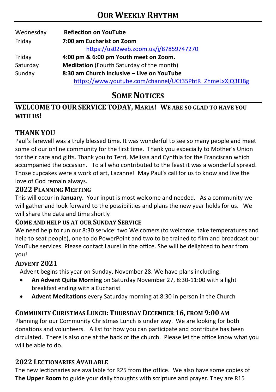| Wednesday | <b>Reflection on YouTube</b>                             |  |  |
|-----------|----------------------------------------------------------|--|--|
| Friday    | 7:00 am Eucharist on Zoom                                |  |  |
|           | https://us02web.zoom.us/j/87859747270                    |  |  |
| Friday    | 4:00 pm & 6:00 pm Youth meet on Zoom.                    |  |  |
| Saturday  | <b>Meditation</b> (Fourth Saturday of the month)         |  |  |
| Sunday    | 8:30 am Church Inclusive - Live on YouTube               |  |  |
|           | https://www.youtube.com/channel/UCt35PbtR_ZhmeLxXjQ3EIBg |  |  |

## **SOME NOTICES**

### **WELCOME TO OUR SERVICE TODAY, MARIA! WE ARE SO GLAD TO HAVE YOU WITH US!**

## **THANK YOU**

Paul's farewell was a truly blessed time. It was wonderful to see so many people and meet some of our online community for the first time. Thank you especially to Mother's Union for their care and gifts. Thank you to Terri, Melissa and Cynthia for the Franciscan which accompanied the occasion. To all who contributed to the feast it was a wonderful spread. Those cupcakes were a work of art, Lazanne! May Paul's call for us to know and live the love of God remain always.

#### **2022 PLANNING MEETING**

This will occur in **January**. Your input is most welcome and needed. As a community we will gather and look forward to the possibilities and plans the new year holds for us. We will share the date and time shortly

#### **COME AND HELP US AT OUR SUNDAY SERVICE**

We need help to run our 8:30 service: two Welcomers (to welcome, take temperatures and help to seat people), one to do PowerPoint and two to be trained to film and broadcast our YouTube services. Please contact Laurel in the office. She will be delighted to hear from you!

### **ADVENT 2021**

Advent begins this year on Sunday, November 28. We have plans including:

- **An Advent Quite Morning** on Saturday November 27, 8:30-11:00 with a light breakfast ending with a Eucharist
- **Advent Meditations** every Saturday morning at 8:30 in person in the Church

### **COMMUNITY CHRISTMAS LUNCH: THURSDAY DECEMBER 16, FROM 9:00 AM**

Planning for our Community Christmas Lunch is under way. We are looking for both donations and volunteers. A list for how you can participate and contribute has been circulated. There is also one at the back of the church. Please let the office know what you will be able to do.

#### **2022 LECTIONARIES AVAILABLE**

The new lectionaries are available for R25 from the office. We also have some copies of **The Upper Room** to guide your daily thoughts with scripture and prayer. They are R15